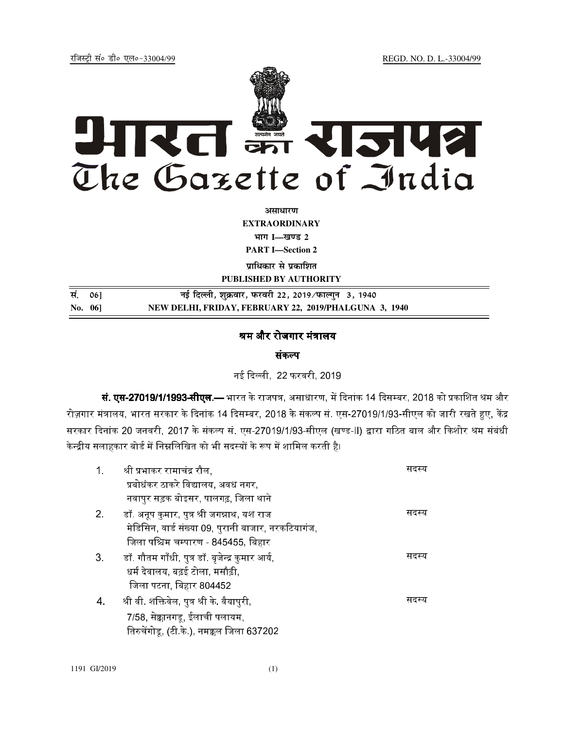jftLVªh laö Mhö ,yö&33004@99 REGD. NO. D. L.-33004/99



**vlk/kj.k EXTRAORDINARY**  $4$ **HTT I**—<br>*E Z* 

**PART I—Section 2** 

**प्राधिकार से प्रकाशित** 

**PUBLISHED BY AUTHORITY la- 06] ubZ fnYyh] 'kqØokj] iQjojh 22] 2019@iQkYx qu 3] 1940**

**No. 06] NEW DELHI, FRIDAY, FEBRUARY 22, 2019/PHALGUNA 3, 1940**

## श्रम और रोजगार मंत्रालय

संकल्प

नई दिल्ली, 22 फरवरी, 2019.

**सं. एस-27019/1/1993-सीएल.—** भारत के राजपत्र, असाधारण, में दिनांक 14 दिसम्बर, 2018 को प्रकाशित श्रम और रोज़गार मंत्रालय. भारत सरकार के दिनांक 14 दिसम्बर. 2018 के संकल्प सं. एस-27019/1/93-सीएल को जारी रखते हुए. केंद्र सरकार दिनांक 20 जनवरी. 2017 के संकल्प सं. एस-27019/1/93-सीएल (खण्ड-II) द्वारा गठित बाल और किशोर श्रम संबंधी केन्द्रीय सलाहकार बोर्ड में निम्नलिखित को भी सदस्यों के रूप में शामिल करती है।

| 1 <sub>1</sub> | श्री प्रभाकर रामाचंद्र रौल,                         | सदस्य |
|----------------|-----------------------------------------------------|-------|
|                | प्रबोधंकर ठाकरे विद्यालय, अवध नगर,                  |       |
|                | नवापुर सड़क बोइसर, पालगढ़, जिला थाने                |       |
| 2.             | डॉ. अनूप कुमार, पुत्र श्री जगन्नाथ, यश राज          | सदस्य |
|                | मेडिसिन, वार्ड संख्या 09, पुरानी बाजार, नरकटियागंज, |       |
|                | जिला पश्चिम चम्पारण - 845455, बिहार                 |       |
| 3 <sub>z</sub> | डॉ. गौतम गाँधी, पुत्र डॉ. बृजेन्द्र कुमार आर्य,     | सदस्य |
|                | धर्म देवालय, बढ़ई टोला, मसौढ़ी,                     |       |
|                | जिला पटना, बिहार 804452                             |       |
| 4.             | श्री वी. शक्तिवेल, पुत्र श्री के. वैयापुरी,         | सदस्य |
|                | 7/58, सेक्कानगडू, ईलाची पलायम,                      |       |
|                | तिरुचेंगोडू, (टी.के.), नमक्कल जिला 637202           |       |